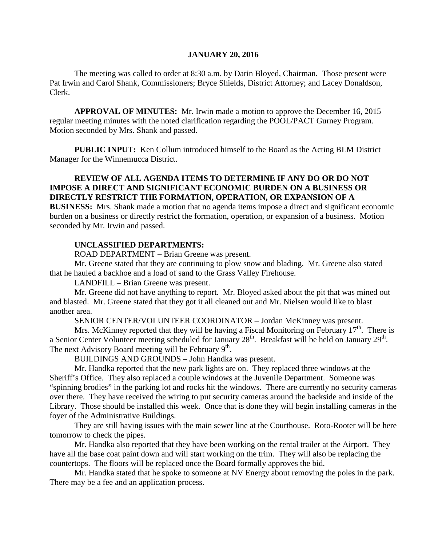#### **JANUARY 20, 2016**

The meeting was called to order at 8:30 a.m. by Darin Bloyed, Chairman. Those present were Pat Irwin and Carol Shank, Commissioners; Bryce Shields, District Attorney; and Lacey Donaldson, Clerk.

**APPROVAL OF MINUTES:** Mr. Irwin made a motion to approve the December 16, 2015 regular meeting minutes with the noted clarification regarding the POOL/PACT Gurney Program. Motion seconded by Mrs. Shank and passed.

 **PUBLIC INPUT:** Ken Collum introduced himself to the Board as the Acting BLM District Manager for the Winnemucca District.

### **REVIEW OF ALL AGENDA ITEMS TO DETERMINE IF ANY DO OR DO NOT IMPOSE A DIRECT AND SIGNIFICANT ECONOMIC BURDEN ON A BUSINESS OR DIRECTLY RESTRICT THE FORMATION, OPERATION, OR EXPANSION OF A BUSINESS:** Mrs. Shank made a motion that no agenda items impose a direct and significant economic

burden on a business or directly restrict the formation, operation, or expansion of a business. Motion seconded by Mr. Irwin and passed.

### **UNCLASSIFIED DEPARTMENTS:**

ROAD DEPARTMENT – Brian Greene was present.

Mr. Greene stated that they are continuing to plow snow and blading. Mr. Greene also stated that he hauled a backhoe and a load of sand to the Grass Valley Firehouse.

LANDFILL – Brian Greene was present.

Mr. Greene did not have anything to report. Mr. Bloyed asked about the pit that was mined out and blasted. Mr. Greene stated that they got it all cleaned out and Mr. Nielsen would like to blast another area.

SENIOR CENTER/VOLUNTEER COORDINATOR – Jordan McKinney was present.

Mrs. McKinney reported that they will be having a Fiscal Monitoring on February  $17<sup>th</sup>$ . There is a Senior Center Volunteer meeting scheduled for January 28<sup>th</sup>. Breakfast will be held on January 29<sup>th</sup>. The next Advisory Board meeting will be February  $9<sup>th</sup>$ .

BUILDINGS AND GROUNDS – John Handka was present.

Mr. Handka reported that the new park lights are on. They replaced three windows at the Sheriff's Office. They also replaced a couple windows at the Juvenile Department. Someone was "spinning brodies" in the parking lot and rocks hit the windows. There are currently no security cameras over there. They have received the wiring to put security cameras around the backside and inside of the Library. Those should be installed this week. Once that is done they will begin installing cameras in the foyer of the Administrative Buildings.

They are still having issues with the main sewer line at the Courthouse. Roto-Rooter will be here tomorrow to check the pipes.

Mr. Handka also reported that they have been working on the rental trailer at the Airport. They have all the base coat paint down and will start working on the trim. They will also be replacing the countertops. The floors will be replaced once the Board formally approves the bid.

Mr. Handka stated that he spoke to someone at NV Energy about removing the poles in the park. There may be a fee and an application process.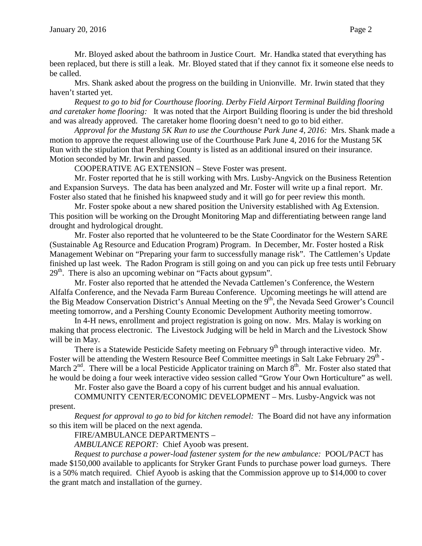Mr. Bloyed asked about the bathroom in Justice Court. Mr. Handka stated that everything has been replaced, but there is still a leak. Mr. Bloyed stated that if they cannot fix it someone else needs to be called.

Mrs. Shank asked about the progress on the building in Unionville. Mr. Irwin stated that they haven't started yet.

*Request to go to bid for Courthouse flooring. Derby Field Airport Terminal Building flooring and caretaker home flooring:* It was noted that the Airport Building flooring is under the bid threshold and was already approved. The caretaker home flooring doesn't need to go to bid either.

*Approval for the Mustang 5K Run to use the Courthouse Park June 4, 2016:* Mrs. Shank made a motion to approve the request allowing use of the Courthouse Park June 4, 2016 for the Mustang 5K Run with the stipulation that Pershing County is listed as an additional insured on their insurance. Motion seconded by Mr. Irwin and passed.

COOPERATIVE AG EXTENSION – Steve Foster was present.

Mr. Foster reported that he is still working with Mrs. Lusby-Angvick on the Business Retention and Expansion Surveys. The data has been analyzed and Mr. Foster will write up a final report. Mr. Foster also stated that he finished his knapweed study and it will go for peer review this month.

Mr. Foster spoke about a new shared position the University established with Ag Extension. This position will be working on the Drought Monitoring Map and differentiating between range land drought and hydrological drought.

Mr. Foster also reported that he volunteered to be the State Coordinator for the Western SARE (Sustainable Ag Resource and Education Program) Program. In December, Mr. Foster hosted a Risk Management Webinar on "Preparing your farm to successfully manage risk". The Cattlemen's Update finished up last week. The Radon Program is still going on and you can pick up free tests until February 29<sup>th</sup>. There is also an upcoming webinar on "Facts about gypsum".

Mr. Foster also reported that he attended the Nevada Cattlemen's Conference, the Western Alfalfa Conference, and the Nevada Farm Bureau Conference. Upcoming meetings he will attend are the Big Meadow Conservation District's Annual Meeting on the 9<sup>th</sup>, the Nevada Seed Grower's Council meeting tomorrow, and a Pershing County Economic Development Authority meeting tomorrow.

In 4-H news, enrollment and project registration is going on now. Mrs. Malay is working on making that process electronic. The Livestock Judging will be held in March and the Livestock Show will be in May.

There is a Statewide Pesticide Safety meeting on February  $9<sup>th</sup>$  through interactive video. Mr. Foster will be attending the Western Resource Beef Committee meetings in Salt Lake February 29<sup>th</sup> -March  $2<sup>nd</sup>$ . There will be a local Pesticide Applicator training on March  $8<sup>th</sup>$ . Mr. Foster also stated that he would be doing a four week interactive video session called "Grow Your Own Horticulture" as well.

Mr. Foster also gave the Board a copy of his current budget and his annual evaluation.

COMMUNITY CENTER/ECONOMIC DEVELOPMENT – Mrs. Lusby-Angvick was not present.

*Request for approval to go to bid for kitchen remodel:* The Board did not have any information so this item will be placed on the next agenda.

FIRE/AMBULANCE DEPARTMENTS –

*AMBULANCE REPORT:* Chief Ayoob was present.

*Request to purchase a power-load fastener system for the new ambulance:* POOL/PACT has made \$150,000 available to applicants for Stryker Grant Funds to purchase power load gurneys. There is a 50% match required. Chief Ayoob is asking that the Commission approve up to \$14,000 to cover the grant match and installation of the gurney.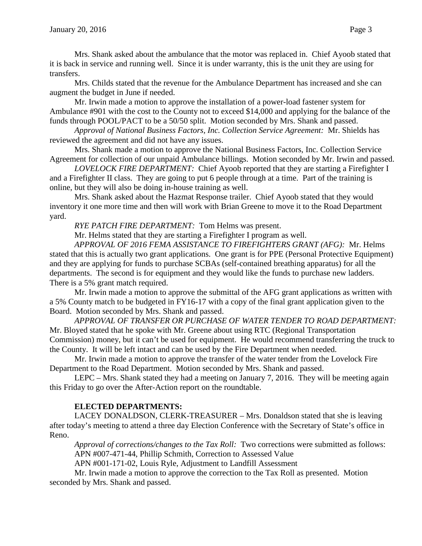Mrs. Shank asked about the ambulance that the motor was replaced in. Chief Ayoob stated that it is back in service and running well. Since it is under warranty, this is the unit they are using for transfers.

Mrs. Childs stated that the revenue for the Ambulance Department has increased and she can augment the budget in June if needed.

Mr. Irwin made a motion to approve the installation of a power-load fastener system for Ambulance #901 with the cost to the County not to exceed \$14,000 and applying for the balance of the funds through POOL/PACT to be a 50/50 split. Motion seconded by Mrs. Shank and passed.

*Approval of National Business Factors, Inc. Collection Service Agreement:* Mr. Shields has reviewed the agreement and did not have any issues.

Mrs. Shank made a motion to approve the National Business Factors, Inc. Collection Service Agreement for collection of our unpaid Ambulance billings. Motion seconded by Mr. Irwin and passed.

*LOVELOCK FIRE DEPARTMENT:* Chief Ayoob reported that they are starting a Firefighter I and a Firefighter II class. They are going to put 6 people through at a time. Part of the training is online, but they will also be doing in-house training as well.

Mrs. Shank asked about the Hazmat Response trailer. Chief Ayoob stated that they would inventory it one more time and then will work with Brian Greene to move it to the Road Department yard.

*RYE PATCH FIRE DEPARTMENT:* Tom Helms was present.

Mr. Helms stated that they are starting a Firefighter I program as well.

*APPROVAL OF 2016 FEMA ASSISTANCE TO FIREFIGHTERS GRANT (AFG):* Mr. Helms stated that this is actually two grant applications. One grant is for PPE (Personal Protective Equipment) and they are applying for funds to purchase SCBAs (self-contained breathing apparatus) for all the departments. The second is for equipment and they would like the funds to purchase new ladders. There is a 5% grant match required.

Mr. Irwin made a motion to approve the submittal of the AFG grant applications as written with a 5% County match to be budgeted in FY16-17 with a copy of the final grant application given to the Board. Motion seconded by Mrs. Shank and passed.

*APPROVAL OF TRANSFER OR PURCHASE OF WATER TENDER TO ROAD DEPARTMENT:*  Mr. Bloyed stated that he spoke with Mr. Greene about using RTC (Regional Transportation Commission) money, but it can't be used for equipment. He would recommend transferring the truck to the County. It will be left intact and can be used by the Fire Department when needed.

Mr. Irwin made a motion to approve the transfer of the water tender from the Lovelock Fire Department to the Road Department. Motion seconded by Mrs. Shank and passed.

LEPC – Mrs. Shank stated they had a meeting on January 7, 2016. They will be meeting again this Friday to go over the After-Action report on the roundtable.

# **ELECTED DEPARTMENTS:**

LACEY DONALDSON, CLERK-TREASURER – Mrs. Donaldson stated that she is leaving after today's meeting to attend a three day Election Conference with the Secretary of State's office in Reno.

 *Approval of corrections/changes to the Tax Roll:* Two corrections were submitted as follows: APN #007-471-44, Phillip Schmith, Correction to Assessed Value

APN #001-171-02, Louis Ryle, Adjustment to Landfill Assessment

Mr. Irwin made a motion to approve the correction to the Tax Roll as presented. Motion seconded by Mrs. Shank and passed.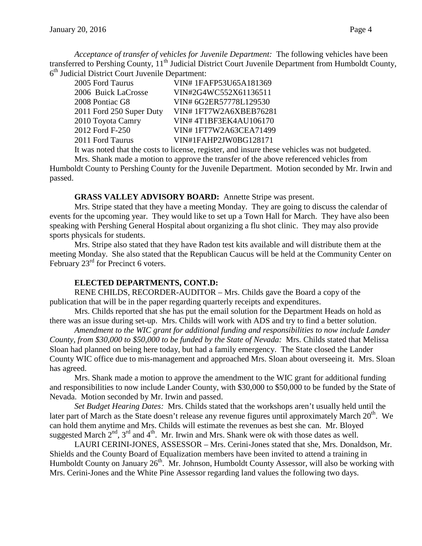*Acceptance of transfer of vehicles for Juvenile Department:* The following vehicles have been transferred to Pershing County, 11<sup>th</sup> Judicial District Court Juvenile Department from Humboldt County, 6<sup>th</sup> Judicial District Court Juvenile Department:

| 2005 Ford Taurus         | VIN#1FAFP53U65A181369  |
|--------------------------|------------------------|
| 2006 Buick LaCrosse      | VIN#2G4WC552X61136511  |
| 2008 Pontiac G8          | VIN# 6G2ER57778L129530 |
| 2011 Ford 250 Super Duty | VIN#1FT7W2A6XBEB76281  |
| 2010 Toyota Camry        | VIN#4T1BF3EK4AU106170  |
| 2012 Ford F-250          | VIN#1FT7W2A63CEA71499  |
| 2011 Ford Taurus         | VIN#1FAHP2JW0BG128171  |
|                          |                        |

It was noted that the costs to license, register, and insure these vehicles was not budgeted.

Mrs. Shank made a motion to approve the transfer of the above referenced vehicles from Humboldt County to Pershing County for the Juvenile Department. Motion seconded by Mr. Irwin and passed.

#### **GRASS VALLEY ADVISORY BOARD:** Annette Stripe was present.

Mrs. Stripe stated that they have a meeting Monday. They are going to discuss the calendar of events for the upcoming year. They would like to set up a Town Hall for March. They have also been speaking with Pershing General Hospital about organizing a flu shot clinic. They may also provide sports physicals for students.

Mrs. Stripe also stated that they have Radon test kits available and will distribute them at the meeting Monday. She also stated that the Republican Caucus will be held at the Community Center on February 23<sup>rd</sup> for Precinct 6 voters.

### **ELECTED DEPARTMENTS, CONT.D:**

RENE CHILDS, RECORDER-AUDITOR – Mrs. Childs gave the Board a copy of the publication that will be in the paper regarding quarterly receipts and expenditures.

Mrs. Childs reported that she has put the email solution for the Department Heads on hold as there was an issue during set-up. Mrs. Childs will work with ADS and try to find a better solution.

*Amendment to the WIC grant for additional funding and responsibilities to now include Lander County, from \$30,000 to \$50,000 to be funded by the State of Nevada:* Mrs. Childs stated that Melissa Sloan had planned on being here today, but had a family emergency. The State closed the Lander County WIC office due to mis-management and approached Mrs. Sloan about overseeing it. Mrs. Sloan has agreed.

Mrs. Shank made a motion to approve the amendment to the WIC grant for additional funding and responsibilities to now include Lander County, with \$30,000 to \$50,000 to be funded by the State of Nevada. Motion seconded by Mr. Irwin and passed.

*Set Budget Hearing Dates:* Mrs. Childs stated that the workshops aren't usually held until the later part of March as the State doesn't release any revenue figures until approximately March  $20<sup>th</sup>$ . We can hold them anytime and Mrs. Childs will estimate the revenues as best she can. Mr. Bloyed suggested March  $2<sup>nd</sup>$ ,  $3<sup>rd</sup>$  and  $4<sup>th</sup>$ . Mr. Irwin and Mrs. Shank were ok with those dates as well.

LAURI CERINI-JONES, ASSESSOR – Mrs. Cerini-Jones stated that she, Mrs. Donaldson, Mr. Shields and the County Board of Equalization members have been invited to attend a training in Humboldt County on January  $26<sup>th</sup>$ . Mr. Johnson, Humboldt County Assessor, will also be working with Mrs. Cerini-Jones and the White Pine Assessor regarding land values the following two days.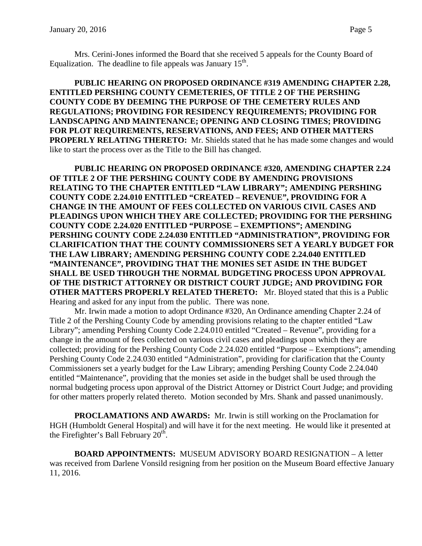Mrs. Cerini-Jones informed the Board that she received 5 appeals for the County Board of Equalization. The deadline to file appeals was January  $15<sup>th</sup>$ .

**PUBLIC HEARING ON PROPOSED ORDINANCE #319 AMENDING CHAPTER 2.28, ENTITLED PERSHING COUNTY CEMETERIES, OF TITLE 2 OF THE PERSHING COUNTY CODE BY DEEMING THE PURPOSE OF THE CEMETERY RULES AND REGULATIONS; PROVIDING FOR RESIDENCY REQUIREMENTS; PROVIDING FOR LANDSCAPING AND MAINTENANCE; OPENING AND CLOSING TIMES; PROVIDING FOR PLOT REQUIREMENTS, RESERVATIONS, AND FEES; AND OTHER MATTERS PROPERLY RELATING THERETO:** Mr. Shields stated that he has made some changes and would like to start the process over as the Title to the Bill has changed.

**PUBLIC HEARING ON PROPOSED ORDINANCE #320, AMENDING CHAPTER 2.24 OF TITLE 2 OF THE PERSHING COUNTY CODE BY AMENDING PROVISIONS RELATING TO THE CHAPTER ENTITLED "LAW LIBRARY"; AMENDING PERSHING COUNTY CODE 2.24.010 ENTITLED "CREATED – REVENUE", PROVIDING FOR A CHANGE IN THE AMOUNT OF FEES COLLECTED ON VARIOUS CIVIL CASES AND PLEADINGS UPON WHICH THEY ARE COLLECTED; PROVIDING FOR THE PERSHING COUNTY CODE 2.24.020 ENTITLED "PURPOSE – EXEMPTIONS"; AMENDING PERSHING COUNTY CODE 2.24.030 ENTITLED "ADMINISTRATION", PROVIDING FOR CLARIFICATION THAT THE COUNTY COMMISSIONERS SET A YEARLY BUDGET FOR THE LAW LIBRARY; AMENDING PERSHING COUNTY CODE 2.24.040 ENTITLED "MAINTENANCE", PROVIDING THAT THE MONIES SET ASIDE IN THE BUDGET SHALL BE USED THROUGH THE NORMAL BUDGETING PROCESS UPON APPROVAL OF THE DISTRICT ATTORNEY OR DISTRICT COURT JUDGE; AND PROVIDING FOR OTHER MATTERS PROPERLY RELATED THERETO:** Mr. Bloyed stated that this is a Public Hearing and asked for any input from the public. There was none.

Mr. Irwin made a motion to adopt Ordinance #320, An Ordinance amending Chapter 2.24 of Title 2 of the Pershing County Code by amending provisions relating to the chapter entitled "Law Library"; amending Pershing County Code 2.24.010 entitled "Created – Revenue", providing for a change in the amount of fees collected on various civil cases and pleadings upon which they are collected; providing for the Pershing County Code 2.24.020 entitled "Purpose – Exemptions"; amending Pershing County Code 2.24.030 entitled "Administration", providing for clarification that the County Commissioners set a yearly budget for the Law Library; amending Pershing County Code 2.24.040 entitled "Maintenance", providing that the monies set aside in the budget shall be used through the normal budgeting process upon approval of the District Attorney or District Court Judge; and providing for other matters properly related thereto. Motion seconded by Mrs. Shank and passed unanimously.

**PROCLAMATIONS AND AWARDS:** Mr. Irwin is still working on the Proclamation for HGH (Humboldt General Hospital) and will have it for the next meeting. He would like it presented at the Firefighter's Ball February  $20<sup>th</sup>$ .

**BOARD APPOINTMENTS:** MUSEUM ADVISORY BOARD RESIGNATION – A letter was received from Darlene Vonsild resigning from her position on the Museum Board effective January 11, 2016.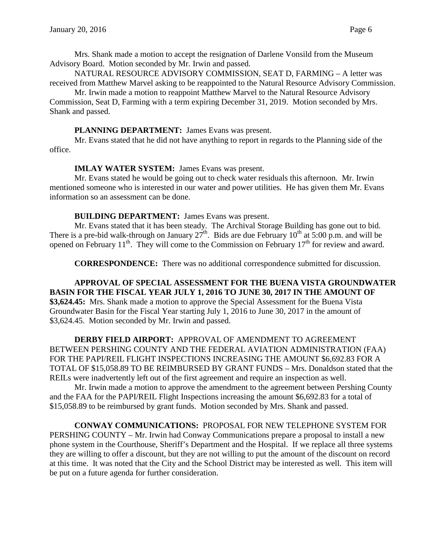Mrs. Shank made a motion to accept the resignation of Darlene Vonsild from the Museum Advisory Board. Motion seconded by Mr. Irwin and passed.

NATURAL RESOURCE ADVISORY COMMISSION, SEAT D, FARMING – A letter was received from Matthew Marvel asking to be reappointed to the Natural Resource Advisory Commission.

Mr. Irwin made a motion to reappoint Matthew Marvel to the Natural Resource Advisory Commission, Seat D, Farming with a term expiring December 31, 2019. Motion seconded by Mrs. Shank and passed.

### **PLANNING DEPARTMENT:** James Evans was present.

Mr. Evans stated that he did not have anything to report in regards to the Planning side of the office.

# **IMLAY WATER SYSTEM:** James Evans was present.

Mr. Evans stated he would be going out to check water residuals this afternoon. Mr. Irwin mentioned someone who is interested in our water and power utilities. He has given them Mr. Evans information so an assessment can be done.

# **BUILDING DEPARTMENT:** James Evans was present.

Mr. Evans stated that it has been steady. The Archival Storage Building has gone out to bid. There is a pre-bid walk-through on January  $27^{th}$ . Bids are due February  $10^{th}$  at 5:00 p.m. and will be opened on February 11<sup>th</sup>. They will come to the Commission on February 17<sup>th</sup> for review and award.

**CORRESPONDENCE:** There was no additional correspondence submitted for discussion.

**APPROVAL OF SPECIAL ASSESSMENT FOR THE BUENA VISTA GROUNDWATER BASIN FOR THE FISCAL YEAR JULY 1, 2016 TO JUNE 30, 2017 IN THE AMOUNT OF \$3,624.45:** Mrs. Shank made a motion to approve the Special Assessment for the Buena Vista Groundwater Basin for the Fiscal Year starting July 1, 2016 to June 30, 2017 in the amount of \$3,624.45. Motion seconded by Mr. Irwin and passed.

**DERBY FIELD AIRPORT:** APPROVAL OF AMENDMENT TO AGREEMENT BETWEEN PERSHING COUNTY AND THE FEDERAL AVIATION ADMINISTRATION (FAA) FOR THE PAPI/REIL FLIGHT INSPECTIONS INCREASING THE AMOUNT \$6,692.83 FOR A TOTAL OF \$15,058.89 TO BE REIMBURSED BY GRANT FUNDS – Mrs. Donaldson stated that the REILs were inadvertently left out of the first agreement and require an inspection as well.

Mr. Irwin made a motion to approve the amendment to the agreement between Pershing County and the FAA for the PAPI/REIL Flight Inspections increasing the amount \$6,692.83 for a total of \$15,058.89 to be reimbursed by grant funds. Motion seconded by Mrs. Shank and passed.

**CONWAY COMMUNICATIONS:** PROPOSAL FOR NEW TELEPHONE SYSTEM FOR PERSHING COUNTY – Mr. Irwin had Conway Communications prepare a proposal to install a new phone system in the Courthouse, Sheriff's Department and the Hospital. If we replace all three systems they are willing to offer a discount, but they are not willing to put the amount of the discount on record at this time. It was noted that the City and the School District may be interested as well. This item will be put on a future agenda for further consideration.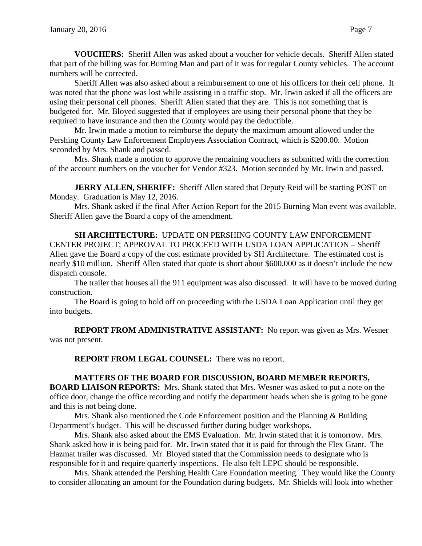**VOUCHERS:** Sheriff Allen was asked about a voucher for vehicle decals. Sheriff Allen stated that part of the billing was for Burning Man and part of it was for regular County vehicles. The account numbers will be corrected.

Sheriff Allen was also asked about a reimbursement to one of his officers for their cell phone. It was noted that the phone was lost while assisting in a traffic stop. Mr. Irwin asked if all the officers are using their personal cell phones. Sheriff Allen stated that they are. This is not something that is budgeted for. Mr. Bloyed suggested that if employees are using their personal phone that they be required to have insurance and then the County would pay the deductible.

Mr. Irwin made a motion to reimburse the deputy the maximum amount allowed under the Pershing County Law Enforcement Employees Association Contract, which is \$200.00. Motion seconded by Mrs. Shank and passed.

Mrs. Shank made a motion to approve the remaining vouchers as submitted with the correction of the account numbers on the voucher for Vendor #323. Motion seconded by Mr. Irwin and passed.

**JERRY ALLEN, SHERIFF:** Sheriff Allen stated that Deputy Reid will be starting POST on Monday. Graduation is May 12, 2016.

Mrs. Shank asked if the final After Action Report for the 2015 Burning Man event was available. Sheriff Allen gave the Board a copy of the amendment.

**SH ARCHITECTURE:** UPDATE ON PERSHING COUNTY LAW ENFORCEMENT CENTER PROJECT; APPROVAL TO PROCEED WITH USDA LOAN APPLICATION – Sheriff Allen gave the Board a copy of the cost estimate provided by SH Architecture. The estimated cost is nearly \$10 million. Sheriff Allen stated that quote is short about \$600,000 as it doesn't include the new dispatch console.

The trailer that houses all the 911 equipment was also discussed. It will have to be moved during construction.

The Board is going to hold off on proceeding with the USDA Loan Application until they get into budgets.

**REPORT FROM ADMINISTRATIVE ASSISTANT:** No report was given as Mrs. Wesner was not present.

**REPORT FROM LEGAL COUNSEL:** There was no report.

# **MATTERS OF THE BOARD FOR DISCUSSION, BOARD MEMBER REPORTS,**

**BOARD LIAISON REPORTS:** Mrs. Shank stated that Mrs. Wesner was asked to put a note on the office door, change the office recording and notify the department heads when she is going to be gone and this is not being done.

Mrs. Shank also mentioned the Code Enforcement position and the Planning & Building Department's budget. This will be discussed further during budget workshops.

Mrs. Shank also asked about the EMS Evaluation. Mr. Irwin stated that it is tomorrow. Mrs. Shank asked how it is being paid for. Mr. Irwin stated that it is paid for through the Flex Grant. The Hazmat trailer was discussed. Mr. Bloyed stated that the Commission needs to designate who is responsible for it and require quarterly inspections. He also felt LEPC should be responsible.

Mrs. Shank attended the Pershing Health Care Foundation meeting. They would like the County to consider allocating an amount for the Foundation during budgets. Mr. Shields will look into whether